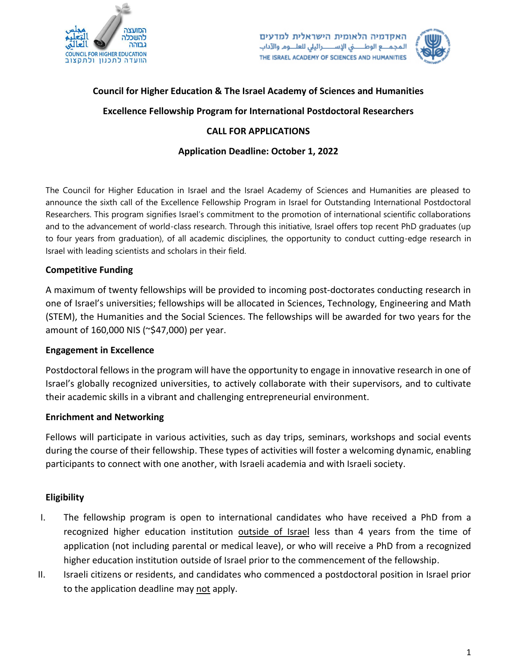

האקדמיה הלאומית הישראלית למדעים المجمــع الوطـــــــىٰ الإســـــــرائيلى للعلـــوم والآداب THE ISRAEL ACADEMY OF SCIENCES AND HUMANITIES



# **Council for Higher Education & The Israel Academy of Sciences and Humanities**

# **Excellence Fellowship Program for International Postdoctoral Researchers**

## **CALL FOR APPLICATIONS**

# **Application Deadline: October 1, 2022**

The Council for Higher Education in Israel and the Israel Academy of Sciences and Humanities are pleased to announce the sixth call of the Excellence Fellowship Program in Israel for Outstanding International Postdoctoral Researchers. This program signifies Israel's commitment to the promotion of international scientific collaborations and to the advancement of world-class research. Through this initiative, Israel offers top recent PhD graduates (up to four years from graduation), of all academic disciplines, the opportunity to conduct cutting-edge research in Israel with leading scientists and scholars in their field.

## **Competitive Funding**

A maximum of twenty fellowships will be provided to incoming post-doctorates conducting research in one of Israel's universities; fellowships will be allocated in Sciences, Technology, Engineering and Math (STEM), the Humanities and the Social Sciences. The fellowships will be awarded for two years for the amount of 160,000 NIS (~\$47,000) per year.

#### **Engagement in Excellence**

Postdoctoral fellows in the program will have the opportunity to engage in innovative research in one of Israel's globally recognized universities, to actively collaborate with their supervisors, and to cultivate their academic skills in a vibrant and challenging entrepreneurial environment.

#### **Enrichment and Networking**

Fellows will participate in various activities, such as day trips, seminars, workshops and social events during the course of their fellowship. These types of activities will foster a welcoming dynamic, enabling participants to connect with one another, with Israeli academia and with Israeli society.

# **Eligibility**

- I. The fellowship program is open to international candidates who have received a PhD from a recognized higher education institution outside of Israel less than 4 years from the time of application (not including parental or medical leave), or who will receive a PhD from a recognized higher education institution outside of Israel prior to the commencement of the fellowship.
- II. Israeli citizens or residents, and candidates who commenced a postdoctoral position in Israel prior to the application deadline may not apply.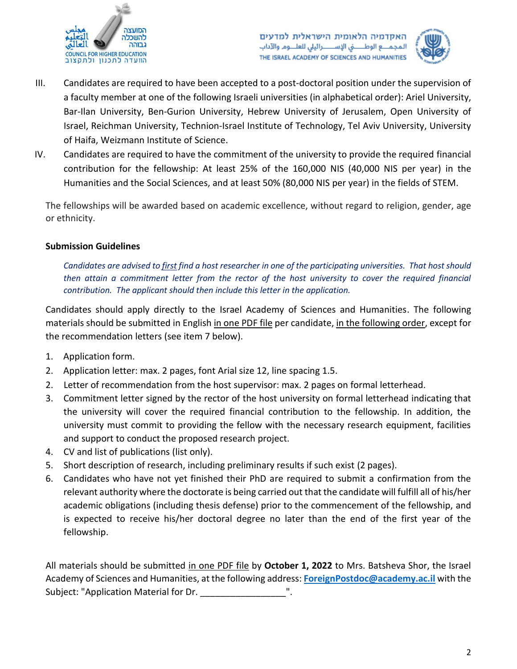

האקדמיה הלאומית הישראלית למדעים المجمــع الوطـــــــىٰ الإســـــــرائيلى للعلـــوم والآداب THE ISRAEL ACADEMY OF SCIENCES AND HUMANITIES



- III. Candidates are required to have been accepted to a post-doctoral position under the supervision of a faculty member at one of the following Israeli universities (in alphabetical order): Ariel University, Bar-Ilan University, Ben-Gurion University, Hebrew University of Jerusalem, Open University of Israel, Reichman University, Technion-Israel Institute of Technology, Tel Aviv University, University of Haifa, Weizmann Institute of Science.
- IV. Candidates are required to have the commitment of the university to provide the required financial contribution for the fellowship: At least 25% of the 160,000 NIS (40,000 NIS per year) in the Humanities and the Social Sciences, and at least 50% (80,000 NIS per year) in the fields of STEM.

The fellowships will be awarded based on academic excellence, without regard to religion, gender, age or ethnicity.

# **Submission Guidelines**

*Candidates are advised to first find a host researcher in one of the participating universities. That host should then attain a commitment letter from the rector of the host university to cover the required financial contribution. The applicant should then include this letter in the application.*

Candidates should apply directly to the Israel Academy of Sciences and Humanities. The following materials should be submitted in English in one PDF file per candidate, in the following order, except for the recommendation letters (see item 7 below).

- 1. Application form.
- 2. Application letter: max. 2 pages, font Arial size 12, line spacing 1.5.
- 2. Letter of recommendation from the host supervisor: max. 2 pages on formal letterhead.
- 3. Commitment letter signed by the rector of the host university on formal letterhead indicating that the university will cover the required financial contribution to the fellowship. In addition, the university must commit to providing the fellow with the necessary research equipment, facilities and support to conduct the proposed research project.
- 4. CV and list of publications (list only).
- 5. Short description of research, including preliminary results if such exist (2 pages).
- 6. Candidates who have not yet finished their PhD are required to submit a confirmation from the relevant authority where the doctorate is being carried out that the candidate will fulfill all of his/her academic obligations (including thesis defense) prior to the commencement of the fellowship, and is expected to receive his/her doctoral degree no later than the end of the first year of the fellowship.

All materials should be submitted in one PDF file by **October 1, 2022** to Mrs. Batsheva Shor, the Israel Academy of Sciences and Humanities, at the following address: **[ForeignPostdoc@academy.ac.il](mailto:ForeignPostdoc@academy.ac.il)** with the Subject: "Application Material for Dr.